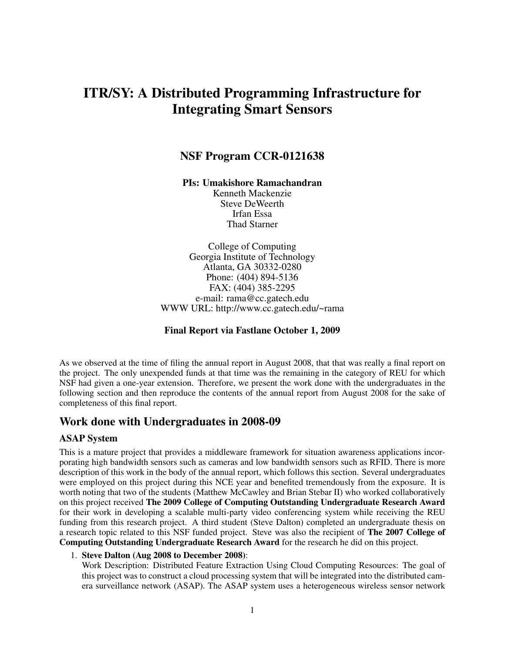# ITR/SY: A Distributed Programming Infrastructure for Integrating Smart Sensors

## NSF Program CCR-0121638

PIs: Umakishore Ramachandran

Kenneth Mackenzie Steve DeWeerth Irfan Essa Thad Starner

College of Computing Georgia Institute of Technology Atlanta, GA 30332-0280 Phone: (404) 894-5136 FAX: (404) 385-2295 e-mail: rama@cc.gatech.edu WWW URL: http://www.cc.gatech.edu/~rama

#### Final Report via Fastlane October 1, 2009

As we observed at the time of filing the annual report in August 2008, that that was really a final report on the project. The only unexpended funds at that time was the remaining in the category of REU for which NSF had given a one-year extension. Therefore, we present the work done with the undergraduates in the following section and then reproduce the contents of the annual report from August 2008 for the sake of completeness of this final report.

# Work done with Undergraduates in 2008-09

#### ASAP System

This is a mature project that provides a middleware framework for situation awareness applications incorporating high bandwidth sensors such as cameras and low bandwidth sensors such as RFID. There is more description of this work in the body of the annual report, which follows this section. Several undergraduates were employed on this project during this NCE year and benefited tremendously from the exposure. It is worth noting that two of the students (Matthew McCawley and Brian Stebar II) who worked collaboratively on this project received The 2009 College of Computing Outstanding Undergraduate Research Award for their work in developing a scalable multi-party video conferencing system while receiving the REU funding from this research project. A third student (Steve Dalton) completed an undergraduate thesis on a research topic related to this NSF funded project. Steve was also the recipient of The 2007 College of Computing Outstanding Undergraduate Research Award for the research he did on this project.

#### 1. Steve Dalton (Aug 2008 to December 2008):

Work Description: Distributed Feature Extraction Using Cloud Computing Resources: The goal of this project was to construct a cloud processing system that will be integrated into the distributed camera surveillance network (ASAP). The ASAP system uses a heterogeneous wireless sensor network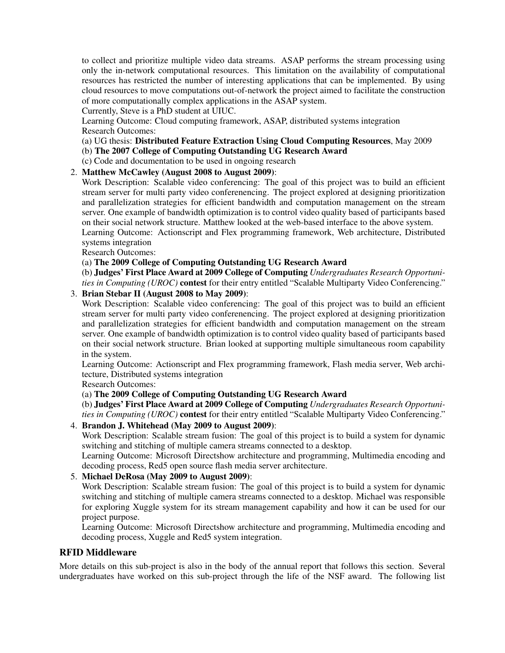to collect and prioritize multiple video data streams. ASAP performs the stream processing using only the in-network computational resources. This limitation on the availability of computational resources has restricted the number of interesting applications that can be implemented. By using cloud resources to move computations out-of-network the project aimed to facilitate the construction of more computationally complex applications in the ASAP system.

Currently, Steve is a PhD student at UIUC.

Learning Outcome: Cloud computing framework, ASAP, distributed systems integration Research Outcomes:

(a) UG thesis: Distributed Feature Extraction Using Cloud Computing Resources, May 2009

(b) The 2007 College of Computing Outstanding UG Research Award

(c) Code and documentation to be used in ongoing research

### 2. Matthew McCawley (August 2008 to August 2009):

Work Description: Scalable video conferencing: The goal of this project was to build an efficient stream server for multi party video conferenencing. The project explored at designing prioritization and parallelization strategies for efficient bandwidth and computation management on the stream server. One example of bandwidth optimization is to control video quality based of participants based on their social network structure. Matthew looked at the web-based interface to the above system.

Learning Outcome: Actionscript and Flex programming framework, Web architecture, Distributed systems integration

Research Outcomes:

#### (a) The 2009 College of Computing Outstanding UG Research Award

(b) Judges' First Place Award at 2009 College of Computing *Undergraduates Research Opportunities in Computing (UROC)* contest for their entry entitled "Scalable Multiparty Video Conferencing."

### 3. Brian Stebar II (August 2008 to May 2009):

Work Description: Scalable video conferencing: The goal of this project was to build an efficient stream server for multi party video conferenencing. The project explored at designing prioritization and parallelization strategies for efficient bandwidth and computation management on the stream server. One example of bandwidth optimization is to control video quality based of participants based on their social network structure. Brian looked at supporting multiple simultaneous room capability in the system.

Learning Outcome: Actionscript and Flex programming framework, Flash media server, Web architecture, Distributed systems integration

Research Outcomes:

#### (a) The 2009 College of Computing Outstanding UG Research Award

(b) Judges' First Place Award at 2009 College of Computing *Undergraduates Research Opportunities in Computing (UROC)* contest for their entry entitled "Scalable Multiparty Video Conferencing."

#### 4. Brandon J. Whitehead (May 2009 to August 2009):

Work Description: Scalable stream fusion: The goal of this project is to build a system for dynamic switching and stitching of multiple camera streams connected to a desktop.

Learning Outcome: Microsoft Directshow architecture and programming, Multimedia encoding and decoding process, Red5 open source flash media server architecture.

#### 5. Michael DeRosa (May 2009 to August 2009):

Work Description: Scalable stream fusion: The goal of this project is to build a system for dynamic switching and stitching of multiple camera streams connected to a desktop. Michael was responsible for exploring Xuggle system for its stream management capability and how it can be used for our project purpose.

Learning Outcome: Microsoft Directshow architecture and programming, Multimedia encoding and decoding process, Xuggle and Red5 system integration.

#### RFID Middleware

More details on this sub-project is also in the body of the annual report that follows this section. Several undergraduates have worked on this sub-project through the life of the NSF award. The following list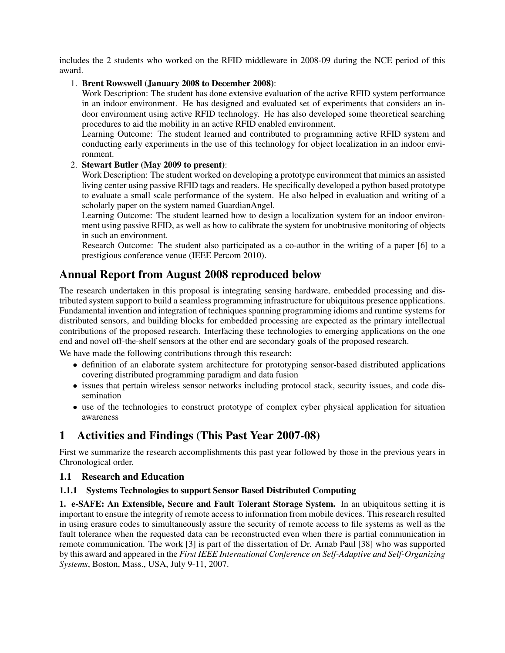includes the 2 students who worked on the RFID middleware in 2008-09 during the NCE period of this award.

#### 1. Brent Rowswell (January 2008 to December 2008):

Work Description: The student has done extensive evaluation of the active RFID system performance in an indoor environment. He has designed and evaluated set of experiments that considers an indoor environment using active RFID technology. He has also developed some theoretical searching procedures to aid the mobility in an active RFID enabled environment.

Learning Outcome: The student learned and contributed to programming active RFID system and conducting early experiments in the use of this technology for object localization in an indoor environment.

### 2. Stewart Butler (May 2009 to present):

Work Description: The student worked on developing a prototype environment that mimics an assisted living center using passive RFID tags and readers. He specifically developed a python based prototype to evaluate a small scale performance of the system. He also helped in evaluation and writing of a scholarly paper on the system named GuardianAngel.

Learning Outcome: The student learned how to design a localization system for an indoor environment using passive RFID, as well as how to calibrate the system for unobtrusive monitoring of objects in such an environment.

Research Outcome: The student also participated as a co-author in the writing of a paper [6] to a prestigious conference venue (IEEE Percom 2010).

# Annual Report from August 2008 reproduced below

The research undertaken in this proposal is integrating sensing hardware, embedded processing and distributed system support to build a seamless programming infrastructure for ubiquitous presence applications. Fundamental invention and integration of techniques spanning programming idioms and runtime systems for distributed sensors, and building blocks for embedded processing are expected as the primary intellectual contributions of the proposed research. Interfacing these technologies to emerging applications on the one end and novel off-the-shelf sensors at the other end are secondary goals of the proposed research.

We have made the following contributions through this research:

- definition of an elaborate system architecture for prototyping sensor-based distributed applications covering distributed programming paradigm and data fusion
- issues that pertain wireless sensor networks including protocol stack, security issues, and code dissemination
- use of the technologies to construct prototype of complex cyber physical application for situation awareness

# 1 Activities and Findings (This Past Year 2007-08)

First we summarize the research accomplishments this past year followed by those in the previous years in Chronological order.

### 1.1 Research and Education

### 1.1.1 Systems Technologies to support Sensor Based Distributed Computing

1. e-SAFE: An Extensible, Secure and Fault Tolerant Storage System. In an ubiquitous setting it is important to ensure the integrity of remote access to information from mobile devices. This research resulted in using erasure codes to simultaneously assure the security of remote access to file systems as well as the fault tolerance when the requested data can be reconstructed even when there is partial communication in remote communication. The work [3] is part of the dissertation of Dr. Arnab Paul [38] who was supported by this award and appeared in the *First IEEE International Conference on Self-Adaptive and Self-Organizing Systems*, Boston, Mass., USA, July 9-11, 2007.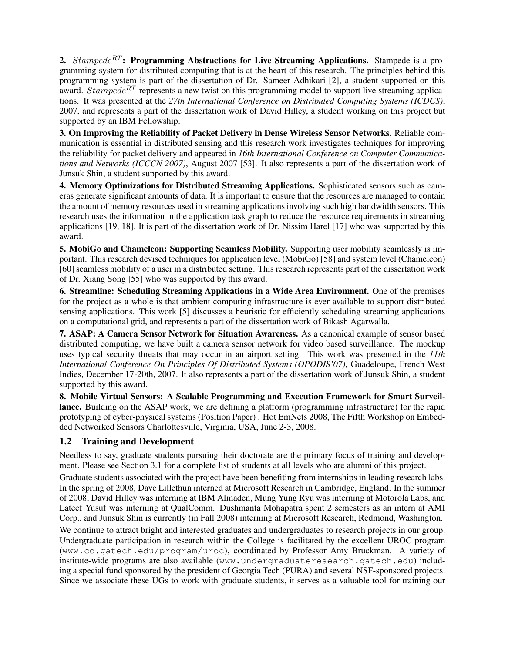2.  $Stampede^{RT}$ : Programming Abstractions for Live Streaming Applications. Stampede is a programming system for distributed computing that is at the heart of this research. The principles behind this programming system is part of the dissertation of Dr. Sameer Adhikari [2], a student supported on this award. Stampede<sup>RT</sup> represents a new twist on this programming model to support live streaming applications. It was presented at the *27th International Conference on Distributed Computing Systems (ICDCS)*, 2007, and represents a part of the dissertation work of David Hilley, a student working on this project but supported by an IBM Fellowship.

3. On Improving the Reliability of Packet Delivery in Dense Wireless Sensor Networks. Reliable communication is essential in distributed sensing and this research work investigates techniques for improving the reliability for packet delivery and appeared in *16th International Conference on Computer Communications and Networks (ICCCN 2007)*, August 2007 [53]. It also represents a part of the dissertation work of Junsuk Shin, a student supported by this award.

4. Memory Optimizations for Distributed Streaming Applications. Sophisticated sensors such as cameras generate significant amounts of data. It is important to ensure that the resources are managed to contain the amount of memory resources used in streaming applications involving such high bandwidth sensors. This research uses the information in the application task graph to reduce the resource requirements in streaming applications [19, 18]. It is part of the dissertation work of Dr. Nissim Harel [17] who was supported by this award.

5. MobiGo and Chameleon: Supporting Seamless Mobility. Supporting user mobility seamlessly is important. This research devised techniques for application level (MobiGo) [58] and system level (Chameleon) [60] seamless mobility of a user in a distributed setting. This research represents part of the dissertation work of Dr. Xiang Song [55] who was supported by this award.

6. Streamline: Scheduling Streaming Applications in a Wide Area Environment. One of the premises for the project as a whole is that ambient computing infrastructure is ever available to support distributed sensing applications. This work [5] discusses a heuristic for efficiently scheduling streaming applications on a computational grid, and represents a part of the dissertation work of Bikash Agarwalla.

7. ASAP: A Camera Sensor Network for Situation Awareness. As a canonical example of sensor based distributed computing, we have built a camera sensor network for video based surveillance. The mockup uses typical security threats that may occur in an airport setting. This work was presented in the *11th International Conference On Principles Of Distributed Systems (OPODIS'07)*, Guadeloupe, French West Indies, December 17-20th, 2007. It also represents a part of the dissertation work of Junsuk Shin, a student supported by this award.

8. Mobile Virtual Sensors: A Scalable Programming and Execution Framework for Smart Surveillance. Building on the ASAP work, we are defining a platform (programming infrastructure) for the rapid prototyping of cyber-physical systems (Position Paper) . Hot EmNets 2008, The Fifth Workshop on Embedded Networked Sensors Charlottesville, Virginia, USA, June 2-3, 2008.

## 1.2 Training and Development

Needless to say, graduate students pursuing their doctorate are the primary focus of training and development. Please see Section 3.1 for a complete list of students at all levels who are alumni of this project.

Graduate students associated with the project have been benefiting from internships in leading research labs. In the spring of 2008, Dave Lillethun interned at Microsoft Research in Cambridge, England. In the summer of 2008, David Hilley was interning at IBM Almaden, Mung Yung Ryu was interning at Motorola Labs, and Lateef Yusuf was interning at QualComm. Dushmanta Mohapatra spent 2 semesters as an intern at AMI Corp., and Junsuk Shin is currently (in Fall 2008) interning at Microsoft Research, Redmond, Washington.

We continue to attract bright and interested graduates and undergraduates to research projects in our group. Undergraduate participation in research within the College is facilitated by the excellent UROC program (www.cc.gatech.edu/program/uroc), coordinated by Professor Amy Bruckman. A variety of institute-wide programs are also available (www.undergraduateresearch.gatech.edu) including a special fund sponsored by the president of Georgia Tech (PURA) and several NSF-sponsored projects. Since we associate these UGs to work with graduate students, it serves as a valuable tool for training our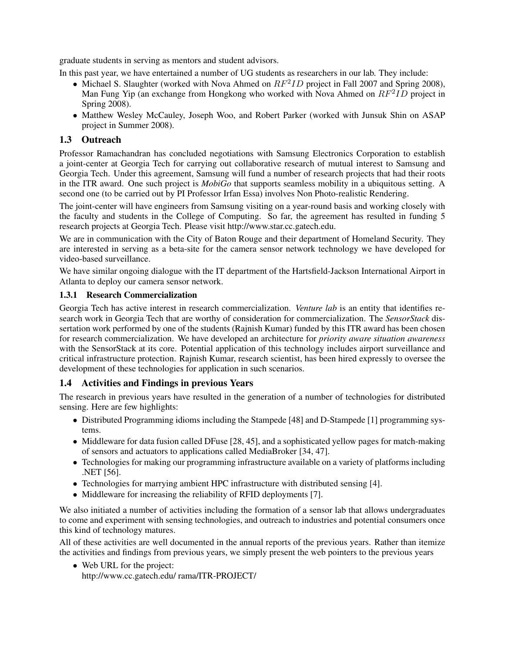graduate students in serving as mentors and student advisors.

In this past year, we have entertained a number of UG students as researchers in our lab. They include:

- Michael S. Slaughter (worked with Nova Ahmed on  $RF^2ID$  project in Fall 2007 and Spring 2008), Man Fung Yip (an exchange from Hongkong who worked with Nova Ahmed on  $RF^2ID$  project in Spring 2008).
- Matthew Wesley McCauley, Joseph Woo, and Robert Parker (worked with Junsuk Shin on ASAP project in Summer 2008).

### 1.3 Outreach

Professor Ramachandran has concluded negotiations with Samsung Electronics Corporation to establish a joint-center at Georgia Tech for carrying out collaborative research of mutual interest to Samsung and Georgia Tech. Under this agreement, Samsung will fund a number of research projects that had their roots in the ITR award. One such project is *MobiGo* that supports seamless mobility in a ubiquitous setting. A second one (to be carried out by PI Professor Irfan Essa) involves Non Photo-realistic Rendering.

The joint-center will have engineers from Samsung visiting on a year-round basis and working closely with the faculty and students in the College of Computing. So far, the agreement has resulted in funding 5 research projects at Georgia Tech. Please visit http://www.star.cc.gatech.edu.

We are in communication with the City of Baton Rouge and their department of Homeland Security. They are interested in serving as a beta-site for the camera sensor network technology we have developed for video-based surveillance.

We have similar ongoing dialogue with the IT department of the Hartsfield-Jackson International Airport in Atlanta to deploy our camera sensor network.

#### 1.3.1 Research Commercialization

Georgia Tech has active interest in research commercialization. *Venture lab* is an entity that identifies research work in Georgia Tech that are worthy of consideration for commercialization. The *SensorStack* dissertation work performed by one of the students (Rajnish Kumar) funded by this ITR award has been chosen for research commercialization. We have developed an architecture for *priority aware situation awareness* with the SensorStack at its core. Potential application of this technology includes airport surveillance and critical infrastructure protection. Rajnish Kumar, research scientist, has been hired expressly to oversee the development of these technologies for application in such scenarios.

### 1.4 Activities and Findings in previous Years

The research in previous years have resulted in the generation of a number of technologies for distributed sensing. Here are few highlights:

- Distributed Programming idioms including the Stampede [48] and D-Stampede [1] programming systems.
- Middleware for data fusion called DFuse [28, 45], and a sophisticated yellow pages for match-making of sensors and actuators to applications called MediaBroker [34, 47].
- Technologies for making our programming infrastructure available on a variety of platforms including .NET [56].
- Technologies for marrying ambient HPC infrastructure with distributed sensing [4].
- Middleware for increasing the reliability of RFID deployments [7].

We also initiated a number of activities including the formation of a sensor lab that allows undergraduates to come and experiment with sensing technologies, and outreach to industries and potential consumers once this kind of technology matures.

All of these activities are well documented in the annual reports of the previous years. Rather than itemize the activities and findings from previous years, we simply present the web pointers to the previous years

• Web URL for the project: http://www.cc.gatech.edu/ rama/ITR-PROJECT/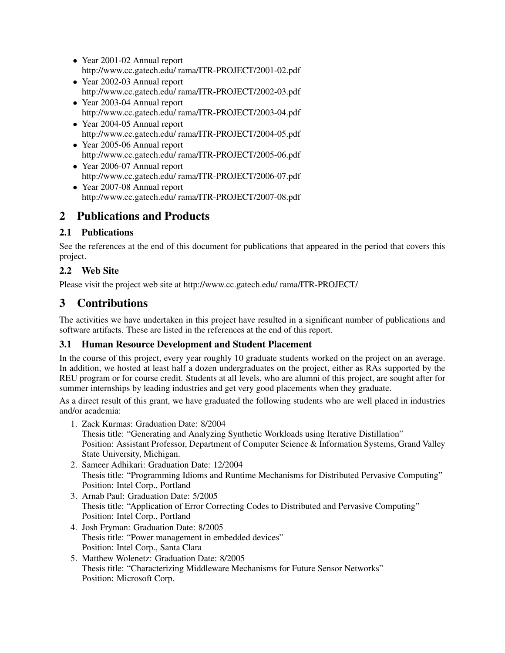- Year 2001-02 Annual report http://www.cc.gatech.edu/ rama/ITR-PROJECT/2001-02.pdf
- Year 2002-03 Annual report http://www.cc.gatech.edu/ rama/ITR-PROJECT/2002-03.pdf
- Year 2003-04 Annual report http://www.cc.gatech.edu/ rama/ITR-PROJECT/2003-04.pdf
- Year 2004-05 Annual report http://www.cc.gatech.edu/ rama/ITR-PROJECT/2004-05.pdf
- Year 2005-06 Annual report http://www.cc.gatech.edu/ rama/ITR-PROJECT/2005-06.pdf
- Year 2006-07 Annual report http://www.cc.gatech.edu/ rama/ITR-PROJECT/2006-07.pdf
- Year 2007-08 Annual report http://www.cc.gatech.edu/ rama/ITR-PROJECT/2007-08.pdf

# 2 Publications and Products

# 2.1 Publications

See the references at the end of this document for publications that appeared in the period that covers this project.

# 2.2 Web Site

Please visit the project web site at http://www.cc.gatech.edu/ rama/ITR-PROJECT/

# 3 Contributions

The activities we have undertaken in this project have resulted in a significant number of publications and software artifacts. These are listed in the references at the end of this report.

# 3.1 Human Resource Development and Student Placement

In the course of this project, every year roughly 10 graduate students worked on the project on an average. In addition, we hosted at least half a dozen undergraduates on the project, either as RAs supported by the REU program or for course credit. Students at all levels, who are alumni of this project, are sought after for summer internships by leading industries and get very good placements when they graduate.

As a direct result of this grant, we have graduated the following students who are well placed in industries and/or academia:

- 1. Zack Kurmas: Graduation Date: 8/2004 Thesis title: "Generating and Analyzing Synthetic Workloads using Iterative Distillation" Position: Assistant Professor, Department of Computer Science & Information Systems, Grand Valley State University, Michigan.
- 2. Sameer Adhikari: Graduation Date: 12/2004 Thesis title: "Programming Idioms and Runtime Mechanisms for Distributed Pervasive Computing" Position: Intel Corp., Portland
- 3. Arnab Paul: Graduation Date: 5/2005 Thesis title: "Application of Error Correcting Codes to Distributed and Pervasive Computing" Position: Intel Corp., Portland
- 4. Josh Fryman: Graduation Date: 8/2005 Thesis title: "Power management in embedded devices" Position: Intel Corp., Santa Clara
- 5. Matthew Wolenetz: Graduation Date: 8/2005 Thesis title: "Characterizing Middleware Mechanisms for Future Sensor Networks" Position: Microsoft Corp.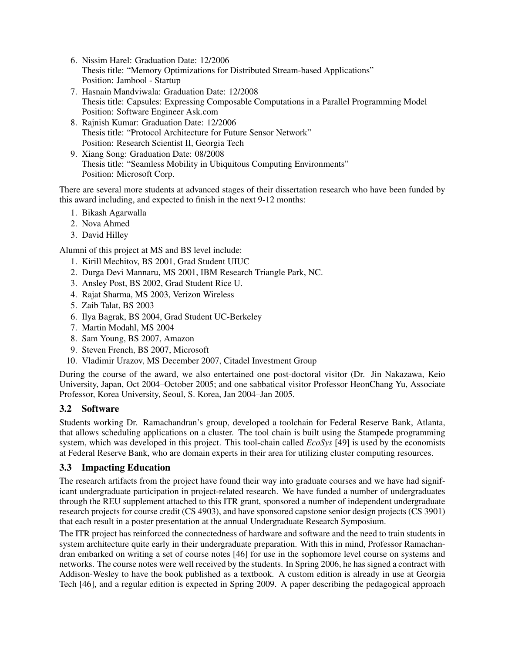- 6. Nissim Harel: Graduation Date: 12/2006 Thesis title: "Memory Optimizations for Distributed Stream-based Applications" Position: Jambool - Startup
- 7. Hasnain Mandviwala: Graduation Date: 12/2008 Thesis title: Capsules: Expressing Composable Computations in a Parallel Programming Model Position: Software Engineer Ask.com
- 8. Rajnish Kumar: Graduation Date: 12/2006 Thesis title: "Protocol Architecture for Future Sensor Network" Position: Research Scientist II, Georgia Tech
- 9. Xiang Song: Graduation Date: 08/2008 Thesis title: "Seamless Mobility in Ubiquitous Computing Environments" Position: Microsoft Corp.

There are several more students at advanced stages of their dissertation research who have been funded by this award including, and expected to finish in the next 9-12 months:

- 1. Bikash Agarwalla
- 2. Nova Ahmed
- 3. David Hilley

Alumni of this project at MS and BS level include:

- 1. Kirill Mechitov, BS 2001, Grad Student UIUC
- 2. Durga Devi Mannaru, MS 2001, IBM Research Triangle Park, NC.
- 3. Ansley Post, BS 2002, Grad Student Rice U.
- 4. Rajat Sharma, MS 2003, Verizon Wireless
- 5. Zaib Talat, BS 2003
- 6. Ilya Bagrak, BS 2004, Grad Student UC-Berkeley
- 7. Martin Modahl, MS 2004
- 8. Sam Young, BS 2007, Amazon
- 9. Steven French, BS 2007, Microsoft
- 10. Vladimir Urazov, MS December 2007, Citadel Investment Group

During the course of the award, we also entertained one post-doctoral visitor (Dr. Jin Nakazawa, Keio University, Japan, Oct 2004–October 2005; and one sabbatical visitor Professor HeonChang Yu, Associate Professor, Korea University, Seoul, S. Korea, Jan 2004–Jan 2005.

### 3.2 Software

Students working Dr. Ramachandran's group, developed a toolchain for Federal Reserve Bank, Atlanta, that allows scheduling applications on a cluster. The tool chain is built using the Stampede programming system, which was developed in this project. This tool-chain called *EcoSys* [49] is used by the economists at Federal Reserve Bank, who are domain experts in their area for utilizing cluster computing resources.

### 3.3 Impacting Education

The research artifacts from the project have found their way into graduate courses and we have had significant undergraduate participation in project-related research. We have funded a number of undergraduates through the REU supplement attached to this ITR grant, sponsored a number of independent undergraduate research projects for course credit (CS 4903), and have sponsored capstone senior design projects (CS 3901) that each result in a poster presentation at the annual Undergraduate Research Symposium.

The ITR project has reinforced the connectedness of hardware and software and the need to train students in system architecture quite early in their undergraduate preparation. With this in mind, Professor Ramachandran embarked on writing a set of course notes [46] for use in the sophomore level course on systems and networks. The course notes were well received by the students. In Spring 2006, he has signed a contract with Addison-Wesley to have the book published as a textbook. A custom edition is already in use at Georgia Tech [46], and a regular edition is expected in Spring 2009. A paper describing the pedagogical approach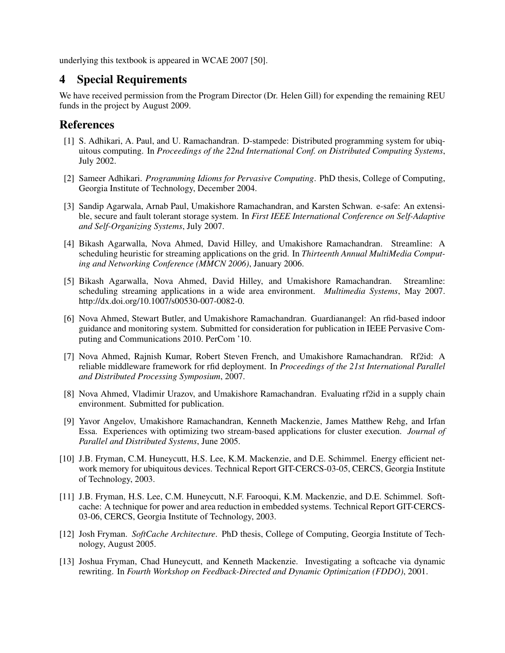underlying this textbook is appeared in WCAE 2007 [50].

# 4 Special Requirements

We have received permission from the Program Director (Dr. Helen Gill) for expending the remaining REU funds in the project by August 2009.

## References

- [1] S. Adhikari, A. Paul, and U. Ramachandran. D-stampede: Distributed programming system for ubiquitous computing. In *Proceedings of the 22nd International Conf. on Distributed Computing Systems*, July 2002.
- [2] Sameer Adhikari. *Programming Idioms for Pervasive Computing*. PhD thesis, College of Computing, Georgia Institute of Technology, December 2004.
- [3] Sandip Agarwala, Arnab Paul, Umakishore Ramachandran, and Karsten Schwan. e-safe: An extensible, secure and fault tolerant storage system. In *First IEEE International Conference on Self-Adaptive and Self-Organizing Systems*, July 2007.
- [4] Bikash Agarwalla, Nova Ahmed, David Hilley, and Umakishore Ramachandran. Streamline: A scheduling heuristic for streaming applications on the grid. In *Thirteenth Annual MultiMedia Computing and Networking Conference (MMCN 2006)*, January 2006.
- [5] Bikash Agarwalla, Nova Ahmed, David Hilley, and Umakishore Ramachandran. Streamline: scheduling streaming applications in a wide area environment. *Multimedia Systems*, May 2007. http://dx.doi.org/10.1007/s00530-007-0082-0.
- [6] Nova Ahmed, Stewart Butler, and Umakishore Ramachandran. Guardianangel: An rfid-based indoor guidance and monitoring system. Submitted for consideration for publication in IEEE Pervasive Computing and Communications 2010. PerCom '10.
- [7] Nova Ahmed, Rajnish Kumar, Robert Steven French, and Umakishore Ramachandran. Rf2id: A reliable middleware framework for rfid deployment. In *Proceedings of the 21st International Parallel and Distributed Processing Symposium*, 2007.
- [8] Nova Ahmed, Vladimir Urazov, and Umakishore Ramachandran. Evaluating rf2id in a supply chain environment. Submitted for publication.
- [9] Yavor Angelov, Umakishore Ramachandran, Kenneth Mackenzie, James Matthew Rehg, and Irfan Essa. Experiences with optimizing two stream-based applications for cluster execution. *Journal of Parallel and Distributed Systems*, June 2005.
- [10] J.B. Fryman, C.M. Huneycutt, H.S. Lee, K.M. Mackenzie, and D.E. Schimmel. Energy efficient network memory for ubiquitous devices. Technical Report GIT-CERCS-03-05, CERCS, Georgia Institute of Technology, 2003.
- [11] J.B. Fryman, H.S. Lee, C.M. Huneycutt, N.F. Farooqui, K.M. Mackenzie, and D.E. Schimmel. Softcache: A technique for power and area reduction in embedded systems. Technical Report GIT-CERCS-03-06, CERCS, Georgia Institute of Technology, 2003.
- [12] Josh Fryman. *SoftCache Architecture*. PhD thesis, College of Computing, Georgia Institute of Technology, August 2005.
- [13] Joshua Fryman, Chad Huneycutt, and Kenneth Mackenzie. Investigating a softcache via dynamic rewriting. In *Fourth Workshop on Feedback-Directed and Dynamic Optimization (FDDO)*, 2001.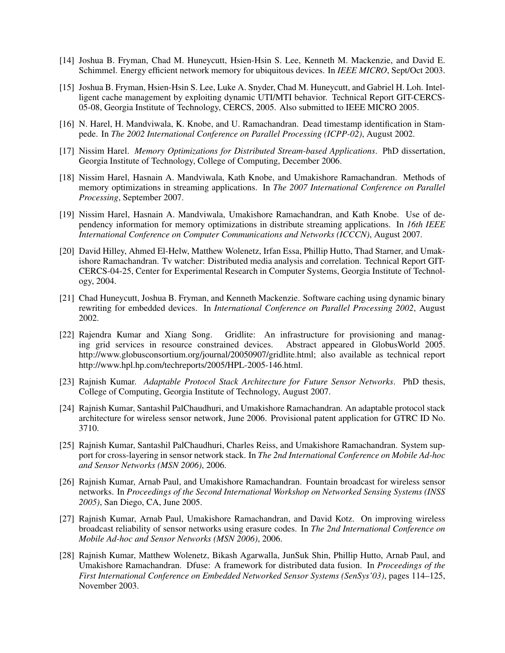- [14] Joshua B. Fryman, Chad M. Huneycutt, Hsien-Hsin S. Lee, Kenneth M. Mackenzie, and David E. Schimmel. Energy efficient network memory for ubiquitous devices. In *IEEE MICRO*, Sept/Oct 2003.
- [15] Joshua B. Fryman, Hsien-Hsin S. Lee, Luke A. Snyder, Chad M. Huneycutt, and Gabriel H. Loh. Intelligent cache management by exploiting dynamic UTI/MTI behavior. Technical Report GIT-CERCS-05-08, Georgia Institute of Technology, CERCS, 2005. Also submitted to IEEE MICRO 2005.
- [16] N. Harel, H. Mandviwala, K. Knobe, and U. Ramachandran. Dead timestamp identification in Stampede. In *The 2002 International Conference on Parallel Processing (ICPP-02)*, August 2002.
- [17] Nissim Harel. *Memory Optimizations for Distributed Stream-based Applications*. PhD dissertation, Georgia Institute of Technology, College of Computing, December 2006.
- [18] Nissim Harel, Hasnain A. Mandviwala, Kath Knobe, and Umakishore Ramachandran. Methods of memory optimizations in streaming applications. In *The 2007 International Conference on Parallel Processing*, September 2007.
- [19] Nissim Harel, Hasnain A. Mandviwala, Umakishore Ramachandran, and Kath Knobe. Use of dependency information for memory optimizations in distribute streaming applications. In *16th IEEE International Conference on Computer Communications and Networks (ICCCN)*, August 2007.
- [20] David Hilley, Ahmed El-Helw, Matthew Wolenetz, Irfan Essa, Phillip Hutto, Thad Starner, and Umakishore Ramachandran. Tv watcher: Distributed media analysis and correlation. Technical Report GIT-CERCS-04-25, Center for Experimental Research in Computer Systems, Georgia Institute of Technology, 2004.
- [21] Chad Huneycutt, Joshua B. Fryman, and Kenneth Mackenzie. Software caching using dynamic binary rewriting for embedded devices. In *International Conference on Parallel Processing 2002*, August 2002.
- [22] Rajendra Kumar and Xiang Song. Gridlite: An infrastructure for provisioning and manag-<br>ing grid services in resource constrained devices. Abstract appeared in GlobusWorld 2005. ing grid services in resource constrained devices. http://www.globusconsortium.org/journal/20050907/gridlite.html; also available as technical report http://www.hpl.hp.com/techreports/2005/HPL-2005-146.html.
- [23] Rajnish Kumar. *Adaptable Protocol Stack Architecture for Future Sensor Networks*. PhD thesis, College of Computing, Georgia Institute of Technology, August 2007.
- [24] Rajnish Kumar, Santashil PalChaudhuri, and Umakishore Ramachandran. An adaptable protocol stack architecture for wireless sensor network, June 2006. Provisional patent application for GTRC ID No. 3710.
- [25] Rajnish Kumar, Santashil PalChaudhuri, Charles Reiss, and Umakishore Ramachandran. System support for cross-layering in sensor network stack. In *The 2nd International Conference on Mobile Ad-hoc and Sensor Networks (MSN 2006)*, 2006.
- [26] Rajnish Kumar, Arnab Paul, and Umakishore Ramachandran. Fountain broadcast for wireless sensor networks. In *Proceedings of the Second International Workshop on Networked Sensing Systems (INSS 2005)*, San Diego, CA, June 2005.
- [27] Rajnish Kumar, Arnab Paul, Umakishore Ramachandran, and David Kotz. On improving wireless broadcast reliability of sensor networks using erasure codes. In *The 2nd International Conference on Mobile Ad-hoc and Sensor Networks (MSN 2006)*, 2006.
- [28] Rajnish Kumar, Matthew Wolenetz, Bikash Agarwalla, JunSuk Shin, Phillip Hutto, Arnab Paul, and Umakishore Ramachandran. Dfuse: A framework for distributed data fusion. In *Proceedings of the First International Conference on Embedded Networked Sensor Systems (SenSys'03)*, pages 114–125, November 2003.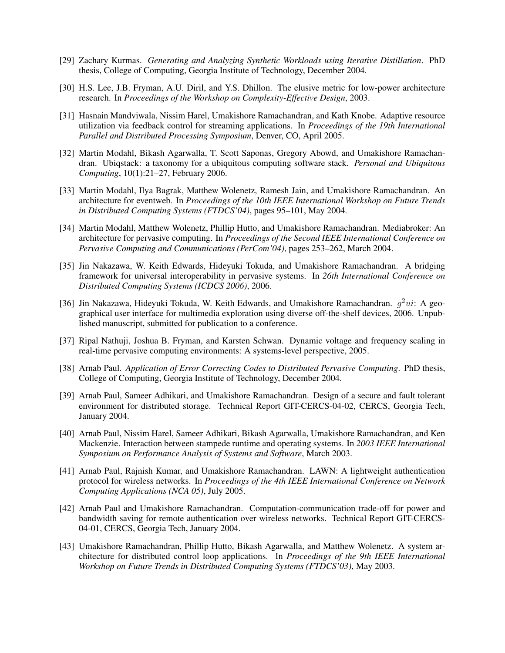- [29] Zachary Kurmas. *Generating and Analyzing Synthetic Workloads using Iterative Distillation*. PhD thesis, College of Computing, Georgia Institute of Technology, December 2004.
- [30] H.S. Lee, J.B. Fryman, A.U. Diril, and Y.S. Dhillon. The elusive metric for low-power architecture research. In *Proceedings of the Workshop on Complexity-Effective Design*, 2003.
- [31] Hasnain Mandviwala, Nissim Harel, Umakishore Ramachandran, and Kath Knobe. Adaptive resource utilization via feedback control for streaming applications. In *Proceedings of the 19th International Parallel and Distributed Processing Symposium*, Denver, CO, April 2005.
- [32] Martin Modahl, Bikash Agarwalla, T. Scott Saponas, Gregory Abowd, and Umakishore Ramachandran. Ubiqstack: a taxonomy for a ubiquitous computing software stack. *Personal and Ubiquitous Computing*, 10(1):21–27, February 2006.
- [33] Martin Modahl, Ilya Bagrak, Matthew Wolenetz, Ramesh Jain, and Umakishore Ramachandran. An architecture for eventweb. In *Proceedings of the 10th IEEE International Workshop on Future Trends in Distributed Computing Systems (FTDCS'04)*, pages 95–101, May 2004.
- [34] Martin Modahl, Matthew Wolenetz, Phillip Hutto, and Umakishore Ramachandran. Mediabroker: An architecture for pervasive computing. In *Proceedings of the Second IEEE International Conference on Pervasive Computing and Communications (PerCom'04)*, pages 253–262, March 2004.
- [35] Jin Nakazawa, W. Keith Edwards, Hideyuki Tokuda, and Umakishore Ramachandran. A bridging framework for universal interoperability in pervasive systems. In *26th International Conference on Distributed Computing Systems (ICDCS 2006)*, 2006.
- [36] Jin Nakazawa, Hideyuki Tokuda, W. Keith Edwards, and Umakishore Ramachandran.  $g^2ui$ : A geographical user interface for multimedia exploration using diverse off-the-shelf devices, 2006. Unpublished manuscript, submitted for publication to a conference.
- [37] Ripal Nathuji, Joshua B. Fryman, and Karsten Schwan. Dynamic voltage and frequency scaling in real-time pervasive computing environments: A systems-level perspective, 2005.
- [38] Arnab Paul. *Application of Error Correcting Codes to Distributed Pervasive Computing*. PhD thesis, College of Computing, Georgia Institute of Technology, December 2004.
- [39] Arnab Paul, Sameer Adhikari, and Umakishore Ramachandran. Design of a secure and fault tolerant environment for distributed storage. Technical Report GIT-CERCS-04-02, CERCS, Georgia Tech, January 2004.
- [40] Arnab Paul, Nissim Harel, Sameer Adhikari, Bikash Agarwalla, Umakishore Ramachandran, and Ken Mackenzie. Interaction between stampede runtime and operating systems. In *2003 IEEE International Symposium on Performance Analysis of Systems and Software*, March 2003.
- [41] Arnab Paul, Rajnish Kumar, and Umakishore Ramachandran. LAWN: A lightweight authentication protocol for wireless networks. In *Proceedings of the 4th IEEE International Conference on Network Computing Applications (NCA 05)*, July 2005.
- [42] Arnab Paul and Umakishore Ramachandran. Computation-communication trade-off for power and bandwidth saving for remote authentication over wireless networks. Technical Report GIT-CERCS-04-01, CERCS, Georgia Tech, January 2004.
- [43] Umakishore Ramachandran, Phillip Hutto, Bikash Agarwalla, and Matthew Wolenetz. A system architecture for distributed control loop applications. In *Proceedings of the 9th IEEE International Workshop on Future Trends in Distributed Computing Systems (FTDCS'03)*, May 2003.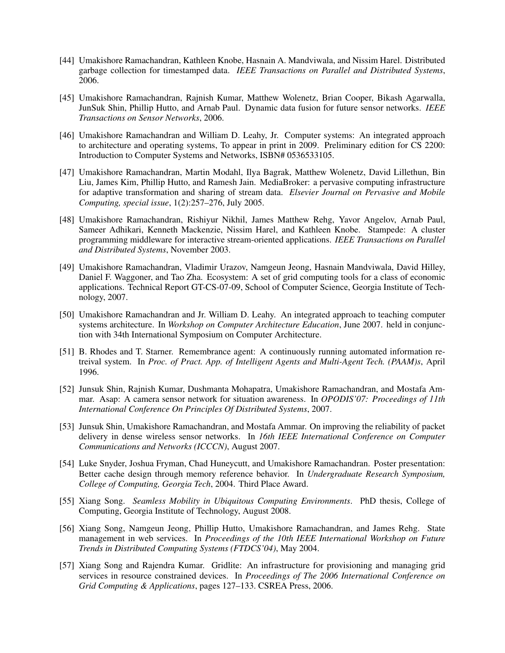- [44] Umakishore Ramachandran, Kathleen Knobe, Hasnain A. Mandviwala, and Nissim Harel. Distributed garbage collection for timestamped data. *IEEE Transactions on Parallel and Distributed Systems*, 2006.
- [45] Umakishore Ramachandran, Rajnish Kumar, Matthew Wolenetz, Brian Cooper, Bikash Agarwalla, JunSuk Shin, Phillip Hutto, and Arnab Paul. Dynamic data fusion for future sensor networks. *IEEE Transactions on Sensor Networks*, 2006.
- [46] Umakishore Ramachandran and William D. Leahy, Jr. Computer systems: An integrated approach to architecture and operating systems, To appear in print in 2009. Preliminary edition for CS 2200: Introduction to Computer Systems and Networks, ISBN# 0536533105.
- [47] Umakishore Ramachandran, Martin Modahl, Ilya Bagrak, Matthew Wolenetz, David Lillethun, Bin Liu, James Kim, Phillip Hutto, and Ramesh Jain. MediaBroker: a pervasive computing infrastructure for adaptive transformation and sharing of stream data. *Elsevier Journal on Pervasive and Mobile Computing, special issue*, 1(2):257–276, July 2005.
- [48] Umakishore Ramachandran, Rishiyur Nikhil, James Matthew Rehg, Yavor Angelov, Arnab Paul, Sameer Adhikari, Kenneth Mackenzie, Nissim Harel, and Kathleen Knobe. Stampede: A cluster programming middleware for interactive stream-oriented applications. *IEEE Transactions on Parallel and Distributed Systems*, November 2003.
- [49] Umakishore Ramachandran, Vladimir Urazov, Namgeun Jeong, Hasnain Mandviwala, David Hilley, Daniel F. Waggoner, and Tao Zha. Ecosystem: A set of grid computing tools for a class of economic applications. Technical Report GT-CS-07-09, School of Computer Science, Georgia Institute of Technology, 2007.
- [50] Umakishore Ramachandran and Jr. William D. Leahy. An integrated approach to teaching computer systems architecture. In *Workshop on Computer Architecture Education*, June 2007. held in conjunction with 34th International Symposium on Computer Architecture.
- [51] B. Rhodes and T. Starner. Remembrance agent: A continuously running automated information retreival system. In *Proc. of Pract. App. of Intelligent Agents and Multi-Agent Tech. (PAAM)s*, April 1996.
- [52] Junsuk Shin, Rajnish Kumar, Dushmanta Mohapatra, Umakishore Ramachandran, and Mostafa Ammar. Asap: A camera sensor network for situation awareness. In *OPODIS'07: Proceedings of 11th International Conference On Principles Of Distributed Systems*, 2007.
- [53] Junsuk Shin, Umakishore Ramachandran, and Mostafa Ammar. On improving the reliability of packet delivery in dense wireless sensor networks. In *16th IEEE International Conference on Computer Communications and Networks (ICCCN)*, August 2007.
- [54] Luke Snyder, Joshua Fryman, Chad Huneycutt, and Umakishore Ramachandran. Poster presentation: Better cache design through memory reference behavior. In *Undergraduate Research Symposium, College of Computing, Georgia Tech*, 2004. Third Place Award.
- [55] Xiang Song. *Seamless Mobility in Ubiquitous Computing Environments*. PhD thesis, College of Computing, Georgia Institute of Technology, August 2008.
- [56] Xiang Song, Namgeun Jeong, Phillip Hutto, Umakishore Ramachandran, and James Rehg. State management in web services. In *Proceedings of the 10th IEEE International Workshop on Future Trends in Distributed Computing Systems (FTDCS'04)*, May 2004.
- [57] Xiang Song and Rajendra Kumar. Gridlite: An infrastructure for provisioning and managing grid services in resource constrained devices. In *Proceedings of The 2006 International Conference on Grid Computing & Applications*, pages 127–133. CSREA Press, 2006.